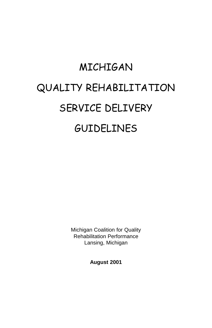# MICHIGAN QUALITY REHABILITATION SERVICE DELIVERY GUIDELINES

Michigan Coalition for Quality Rehabilitation Performance Lansing, Michigan

**August 2001**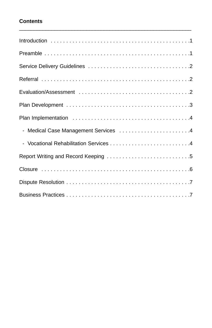# **Contents**

| - Medical Case Management Services  4 |
|---------------------------------------|
|                                       |
|                                       |
|                                       |
|                                       |
|                                       |

\_\_\_\_\_\_\_\_\_\_\_\_\_\_\_\_\_\_\_\_\_\_\_\_\_\_\_\_\_\_\_\_\_\_\_\_\_\_\_\_\_\_\_\_\_\_\_\_\_\_\_\_\_\_\_\_\_\_\_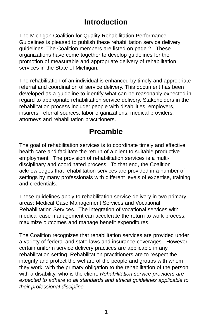# **Introduction**

The Michigan Coalition for Quality Rehabilitation Performance Guidelines is pleased to publish these rehabilitation service delivery guidelines. The Coalition members are listed on page 2. These organizations have come together to develop guidelines for the promotion of measurable and appropriate delivery of rehabilitation services in the State of Michigan.

The rehabilitation of an individual is enhanced by timely and appropriate referral and coordination of service delivery. This document has been developed as a guideline to identify what can be reasonably expected in regard to appropriate rehabilitation service delivery. Stakeholders in the rehabilitation process include: people with disabilities, employers, insurers, referral sources, labor organizations, medical providers, attorneys and rehabilitation practitioners.

# **Preamble**

The goal of rehabilitation services is to coordinate timely and effective health care and facilitate the return of a client to suitable productive employment. The provision of rehabilitation services is a multidisciplinary and coordinated process. To that end, the Coalition acknowledges that rehabilitation services are provided in a number of settings by many professionals with different levels of expertise, training and credentials.

These guidelines apply to rehabilitation service delivery in two primary areas: Medical Case Management Services and Vocational Rehabilitation Services. The integration of vocational services with medical case management can accelerate the return to work process, maximize outcomes and manage benefit expenditures.

The Coalition recognizes that rehabilitation services are provided under a variety of federal and state laws and insurance coverages. However, certain uniform service delivery practices are applicable in any rehabilitation setting. Rehabilitation practitioners are to respect the integrity and protect the welfare of the people and groups with whom they work, with the primary obligation to the rehabilitation of the person with a disability, who is the client. Rehabilitation service providers are expected to adhere to all standards and ethical guidelines applicable to their professional discipline.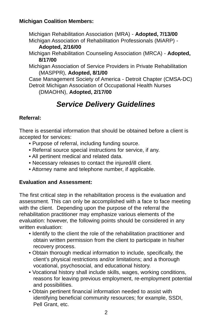# **Michigan Coalition Members:**

Michigan Rehabilitation Association (MRA) - **Adopted, 7/13/00** Michigan Association of Rehabilitation Professionals (MiARP) -

- **Adopted, 2/16/00**
- Michigan Rehabilitation Counseling Association (MRCA) **Adopted, 8/17/00**

Michigan Association of Service Providers in Private Rehabilitation (MASPPR), **Adopted, 8/1/00**

Case Management Society of America - Detroit Chapter (CMSA-DC) Detroit Michigan Association of Occupational Health Nurses

(DMAOHN), **Adopted, 2/17/00**

# **Service Delivery Guidelines**

# **Referral:**

There is essential information that should be obtained before a client is accepted for services:

- Purpose of referral, including funding source.
- Referral source special instructions for service, if any.
- All pertinent medical and related data.
- Necessary releases to contact the injured/ill client.
- Attorney name and telephone number, if applicable.

# **Evaluation and Assessment:**

The first critical step in the rehabilitation process is the evaluation and assessment. This can only be accomplished with a face to face meeting with the client. Depending upon the purpose of the referral the rehabilitation practitioner may emphasize various elements of the evaluation: however, the following points should be considered in any written evaluation:

- Identify to the client the role of the rehabilitation practitioner and obtain written permission from the client to participate in his/her recovery process.
- Obtain thorough medical information to include, specifically, the client's physical restrictions and/or limitations; and a thorough vocational, psychosocial, and educational history.
- Vocational history shall include skills, wages, working conditions, reasons for leaving previous employment, re-employment potential and possibilities.
- Obtain pertinent financial information needed to assist with identifying beneficial community resources; for example, SSDI, Pell Grant, etc.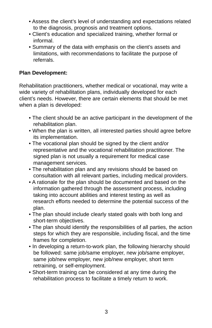- Assess the client's level of understanding and expectations related to the diagnosis, prognosis and treatment options.
- Client's education and specialized training, whether formal or informal.
- Summary of the data with emphasis on the client's assets and limitations, with recommendations to facilitate the purpose of referrals.

## **Plan Development:**

Rehabilitation practitioners, whether medical or vocational, may write a wide variety of rehabilitation plans, individually developed for each client's needs. However, there are certain elements that should be met when a plan is developed:

- The client should be an active participant in the development of the rehabilitation plan.
- When the plan is written, all interested parties should agree before its implementation.
- The vocational plan should be signed by the client and/or representative and the vocational rehabilitation practitioner. The signed plan is not usually a requirement for medical case management services.
- The rehabilitation plan and any revisions should be based on consultation with all relevant parties, including medical providers.
- A rationale for the plan should be documented and based on the information gathered through the assessment process, including taking into account abilities and interest testing as well as research efforts needed to determine the potential success of the plan.
- The plan should include clearly stated goals with both long and short-term objectives.
- The plan should identify the responsibilities of all parties, the action steps for which they are responsible, including fiscal, and the time frames for completion.
- In developing a return-to-work plan, the following hierarchy should be followed: same job/same employer, new job/same employer, same job/new employer, new job/new employer, short term retraining, or self-employment.
- Short-term training can be considered at any time during the rehabilitation process to facilitate a timely return to work.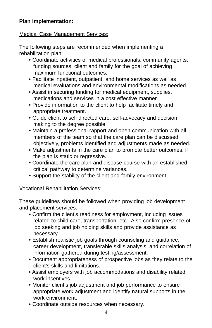# **Plan Implementation:**

## Medical Case Management Services:

The following steps are recommended when implementing a rehabilitation plan:

- Coordinate activities of medical professionals, community agents, funding sources, client and family for the goal of achieving maximum functional outcomes.
- Facilitate inpatient, outpatient, and home services as well as medical evaluations and environmental modifications as needed.
- Assist in securing funding for medical equipment, supplies, medications and services in a cost effective manner.
- Provide information to the client to help facilitate timely and appropriate treatment.
- Guide client to self directed care, self-advocacy and decision making to the degree possible.
- Maintain a professional rapport and open communication with all members of the team so that the care plan can be discussed objectively, problems identified and adjustments made as needed.
- Make adjustments in the care plan to promote better outcomes, if the plan is static or regressive.
- Coordinate the care plan and disease course with an established critical pathway to determine variances.
- Support the stability of the client and family environment.

#### Vocational Rehabilitation Services:

These guidelines should be followed when providing job development and placement services:

- Confirm the client's readiness for employment, including issues related to child care, transportation, etc. Also confirm presence of job seeking and job holding skills and provide assistance as necessary.
- Establish realistic job goals through counseling and guidance, career development, transferable skills analysis, and correlation of information gathered during testing/assessment.
- Document appropriateness of prospective jobs as they relate to the client's skills and limitations.
- Assist employers with job accommodations and disability related work incentives.
- Monitor client's job adjustment and job performance to ensure appropriate work adjustment and identify natural supports in the work environment.
- Coordinate outside resources when necessary.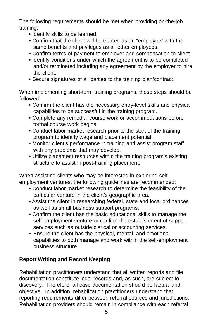The following requirements should be met when providing on-the-job training:

- Identify skills to be learned.
- Confirm that the client will be treated as an "employee" with the same benefits and privileges as all other employees.
- Confirm terms of payment to employer and compensation to client.
- Identify conditions under which the agreement is to be completed and/or terminated including any agreement by the employer to hire the client.
- Secure signatures of all parties to the training plan/contract.

When implementing short-term training programs, these steps should be followed:

- Confirm the client has the necessary entry-level skills and physical capabilities to be successful in the training program.
- Complete any remedial course work or accommodations before formal course work begins.
- Conduct labor market research prior to the start of the training program to identify wage and placement potential.
- Monitor client's performance in training and assist program staff with any problems that may develop.
- Utilize placement resources within the training program's existing structure to assist in post-training placement.

When assisting clients who may be interested in exploring selfemployment ventures, the following guidelines are recommended:

- Conduct labor market research to determine the feasibility of the particular venture in the client's geographic area.
- Assist the client in researching federal, state and local ordinances as well as small business support programs.
- Confirm the client has the basic educational skills to manage the self-employment venture or confirm the establishment of support services such as outside clerical or accounting services.
- Ensure the client has the physical, mental, and emotional capabilities to both manage and work within the self-employment business structure.

# **Report Writing and Record Keeping**

Rehabilitation practitioners understand that all written reports and file documentation constitute legal records and, as such, are subject to discovery. Therefore, all case documentation should be factual and objective. In addition, rehabilitation practitioners understand that reporting requirements differ between referral sources and jurisdictions. Rehabilitation providers should remain in compliance with each referral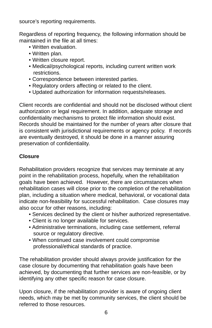source's reporting requirements.

Regardless of reporting frequency, the following information should be maintained in the file at all times:

- Written evaluation.
- Written plan.
- Written closure report.
- Medical/psychological reports, including current written work restrictions.
- Correspondence between interested parties.
- Regulatory orders affecting or related to the client.
- Updated authorization for information requests/releases.

Client records are confidential and should not be disclosed without client authorization or legal requirement. In addition, adequate storage and confidentiality mechanisms to protect file information should exist. Records should be maintained for the number of years after closure that is consistent with jurisdictional requirements or agency policy. If records are eventually destroyed, it should be done in a manner assuring preservation of confidentiality.

# **Closure**

Rehabilitation providers recognize that services may terminate at any point in the rehabilitation process, hopefully, when the rehabilitation goals have been achieved. However, there are circumstances when rehabilitation cases will close prior to the completion of the rehabilitation plan, including a situation where medical, behavioral, or vocational data indicate non-feasibility for successful rehabilitation. Case closures may also occur for other reasons, including:

- Services declined by the client or his/her authorized representative.
- Client is no longer available for services.
- Administrative terminations, including case settlement, referral source or regulatory directive.
- When continued case involvement could compromise professional/ethical standards of practice.

The rehabilitation provider should always provide justification for the case closure by documenting that rehabilitation goals have been achieved, by documenting that further services are non-feasible, or by identifying any other specific reason for case closure.

Upon closure, if the rehabilitation provider is aware of ongoing client needs, which may be met by community services, the client should be referred to those resources.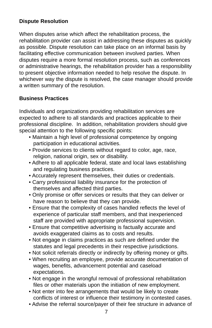# **Dispute Resolution**

When disputes arise which affect the rehabilitation process, the rehabilitation provider can assist in addressing these disputes as quickly as possible. Dispute resolution can take place on an informal basis by facilitating effective communication between involved parties. When disputes require a more formal resolution process, such as conferences or administrative hearings, the rehabilitation provider has a responsibility to present objective information needed to help resolve the dispute. In whichever way the dispute is resolved, the case manager should provide a written summary of the resolution.

## **Business Practices**

Individuals and organizations providing rehabilitation services are expected to adhere to all standards and practices applicable to their professional discipline. In addition, rehabilitation providers should give special attention to the following specific points:

- Maintain a high level of professional competence by ongoing participation in educational activities.
- Provide services to clients without regard to color, age, race, religion, national origin, sex or disability.
- Adhere to all applicable federal, state and local laws establishing and regulating business practices.
- Accurately represent themselves, their duties or credentials.
- Carry professional liability insurance for the protection of themselves and affected third parties.
- Only promise or offer services or results that they can deliver or have reason to believe that they can provide.
- Ensure that the complexity of cases handled reflects the level of experience of particular staff members, and that inexperienced staff are provided with appropriate professional supervision.
- Ensure that competitive advertising is factually accurate and avoids exaggerated claims as to costs and results.
- Not engage in claims practices as such are defined under the statutes and legal precedents in their respective jurisdictions.
- Not solicit referrals directly or indirectly by offering money or gifts.
- When recruiting an employee, provide accurate documentation of wages, benefits, advancement potential and caseload expectations.
- Not engage in the wrongful removal of professional rehabilitation files or other materials upon the initiation of new employment.
- Not enter into fee arrangements that would be likely to create conflicts of interest or influence their testimony in contested cases.
- Advise the referral source/payer of their fee structure in advance of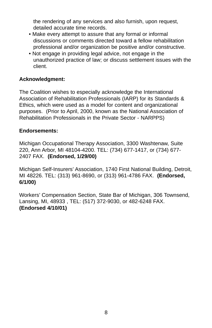the rendering of any services and also furnish, upon request, detailed accurate time records.

- Make every attempt to assure that any formal or informal discussions or comments directed toward a fellow rehabilitation professional and/or organization be positive and/or constructive.
- Not engage in providing legal advice, not engage in the unauthorized practice of law; or discuss settlement issues with the client.

## **Acknowledgment:**

The Coalition wishes to especially acknowledge the International Association of Rehabilitation Professionals (IARP) for its Standards & Ethics, which were used as a model for content and organizational purposes. (Prior to April, 2000, known as the National Association of Rehabilitation Professionals in the Private Sector - NARPPS)

## **Endorsements:**

Michigan Occupational Therapy Association, 3300 Washtenaw, Suite 220, Ann Arbor, MI 48104-4200. TEL: (734) 677-1417, or (734) 677- 2407 FAX. **(Endorsed, 1/29/00)**

Michigan Self-Insurers' Association, 1740 First National Building, Detroit, MI 48226. TEL: (313) 961-8690, or (313) 961-4786 FAX. **(Endorsed, 6/1/00)**

Workers' Compensation Section, State Bar of Michigan, 306 Townsend, Lansing, MI, 48933 , TEL: (517) 372-9030, or 482-6248 FAX. **(Endorsed 4/10/01)**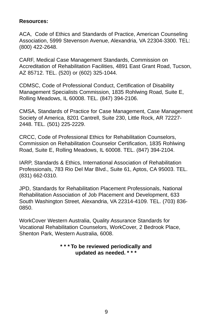#### **Resources:**

ACA, Code of Ethics and Standards of Practice, American Counseling Association, 5999 Stevenson Avenue, Alexandria, VA 22304-3300. TEL: (800) 422-2648.

CARF, Medical Case Management Standards, Commission on Accreditation of Rehabilitation Facilities, 4891 East Grant Road, Tucson, AZ 85712. TEL. (520) or (602) 325-1044.

CDMSC, Code of Professional Conduct, Certification of Disability Management Specialists Commission, 1835 Rohlwing Road, Suite E, Rolling Meadows, IL 60008. TEL. (847) 394-2106.

CMSA, Standards of Practice for Case Management, Case Management Society of America, 8201 Cantrell, Suite 230, Little Rock, AR 72227- 2448. TEL. (501) 225-2229.

CRCC, Code of Professional Ethics for Rehabilitation Counselors, Commission on Rehabilitation Counselor Certification, 1835 Rohlwing Road, Suite E, Rolling Meadows, IL 60008. TEL. (847) 394-2104.

IARP, Standards & Ethics, International Association of Rehabilitation Professionals, 783 Rio Del Mar Blvd., Suite 61, Aptos, CA 95003. TEL. (831) 662-0310.

JPD, Standards for Rehabilitation Placement Professionals, National Rehabilitation Association of Job Placement and Development, 633 South Washington Street, Alexandria, VA 22314-4109. TEL. (703) 836- 0850.

WorkCover Western Australia, Quality Assurance Standards for Vocational Rehabilitation Counselors, WorkCover, 2 Bedrook Place, Shenton Park, Western Australia, 6008.

## **\* \* \* To be reviewed periodically and updated as needed. \* \* \***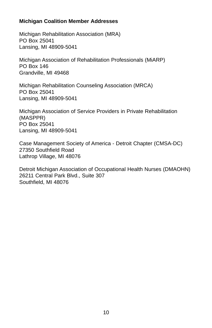## **Michigan Coalition Member Addresses**

Michigan Rehabilitation Association (MRA) PO Box 25041 Lansing, MI 48909-5041

Michigan Association of Rehabilitation Professionals (MiARP) PO Box 146 Grandville, MI 49468

Michigan Rehabilitation Counseling Association (MRCA) PO Box 25041 Lansing, MI 48909-5041

Michigan Association of Service Providers in Private Rehabilitation (MASPPR) PO Box 25041 Lansing, MI 48909-5041

Case Management Society of America - Detroit Chapter (CMSA-DC) 27350 Southfield Road Lathrop Village, MI 48076

Detroit Michigan Association of Occupational Health Nurses (DMAOHN) 26211 Central Park Blvd., Suite 307 Southfield, MI 48076